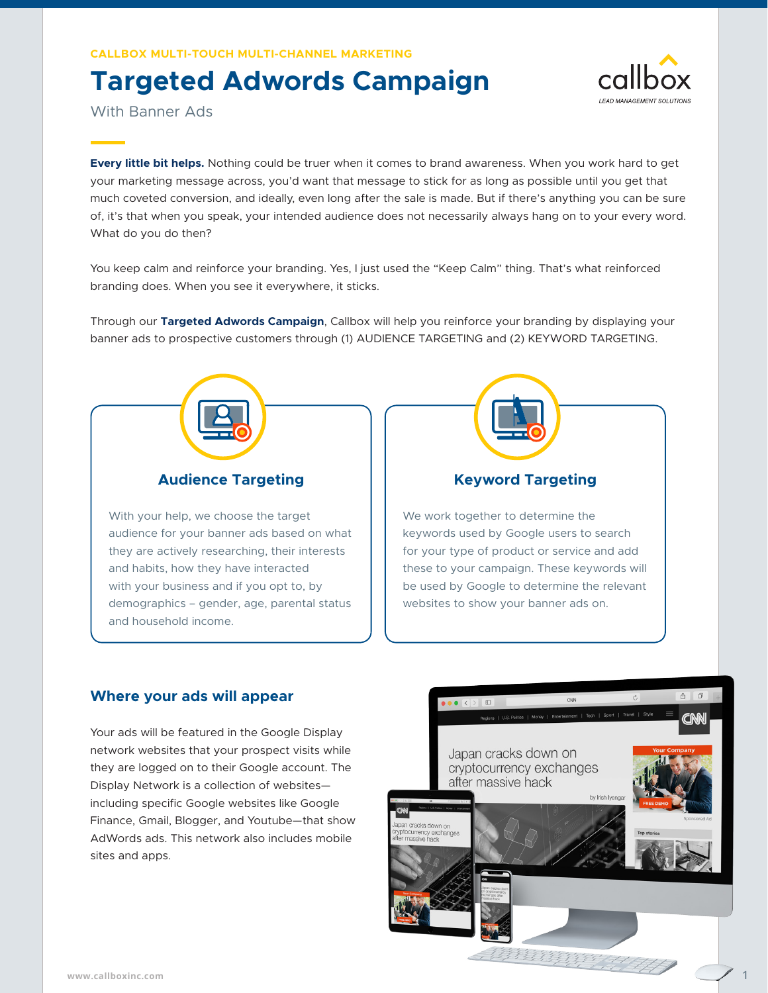**Callbox Multi-Touch Multi-Channel Marketing**

## **Targeted Adwords Campaign**



With Banner Ads

**Every little bit helps.** Nothing could be truer when it comes to brand awareness. When you work hard to get your marketing message across, you'd want that message to stick for as long as possible until you get that much coveted conversion, and ideally, even long after the sale is made. But if there's anything you can be sure of, it's that when you speak, your intended audience does not necessarily always hang on to your every word. What do you do then?

You keep calm and reinforce your branding. Yes, I just used the "Keep Calm" thing. That's what reinforced branding does. When you see it everywhere, it sticks.

Through our **Targeted Adwords Campaign**, Callbox will help you reinforce your branding by displaying your banner ads to prospective customers through (1) AUDIENCE TARGETING and (2) KEYWORD TARGETING.



#### **Audience Targeting**

With your help, we choose the target audience for your banner ads based on what they are actively researching, their interests and habits, how they have interacted with your business and if you opt to, by demographics – gender, age, parental status and household income.

# **Keyword Targeting**

We work together to determine the keywords used by Google users to search for your type of product or service and add these to your campaign. These keywords will be used by Google to determine the relevant websites to show your banner ads on.

#### **Where your ads will appear**

Your ads will be featured in the Google Display network websites that your prospect visits while they are logged on to their Google account. The Display Network is a collection of websites including specific Google websites like Google Finance, Gmail, Blogger, and Youtube—that show AdWords ads. This network also includes mobile sites and apps.